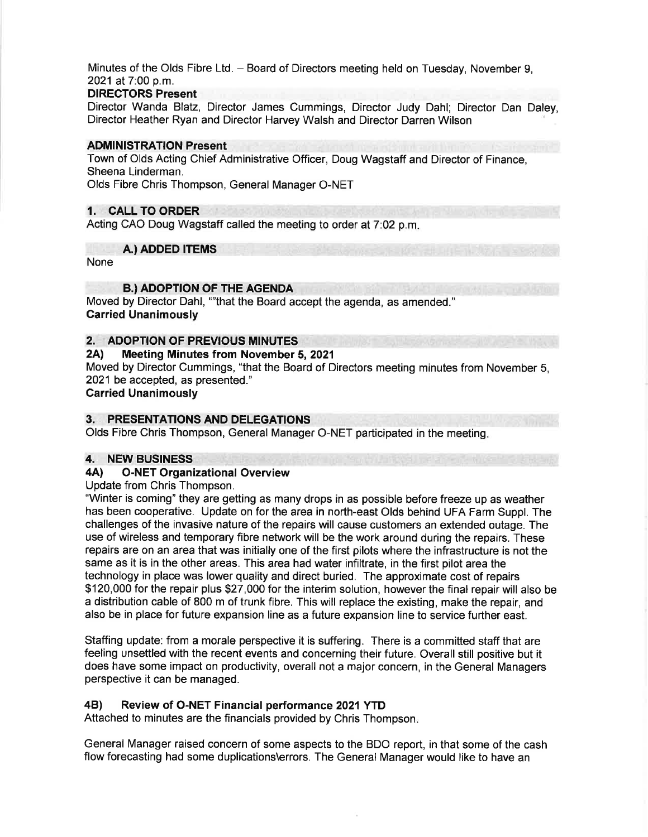Minutes of the Olds Fibre Ltd. - Board of Directors meeting held on Tuesday, November 9, 2021 at 7:00 p.m.

#### DIRECTORS Present

Director Wanda Blatz, Director James Cummings, Director Judy Dahl; Director Dan Daley, Director Heather Ryan and Director Harvey Walsh and Director Darren Wilson

#### ADMINISTRATION Present

Town of Olds Acting Chief Administrative Officer, Doug Wagstaff and Director of Finance, Sheena Linderman.

Olds Fibre Chris Thompson, General Manager O-NET

# '.. CALL TO ORDER

Acting CAO Doug Wagstaff called the meeting to order at 7:02 p.m.

A.) ADDED ITEMS

None

#### B.) ADOPTION OF THE AGENDA

Moved by Director Dahl, ""that the Board accept the agenda, as amended." Garried Unanimously

# 2. ADOPTION OF PREVIOUS MINUTES<br>2A) Meeting Minutes from November

#### **Meeting Minutes from November 5, 2021**

Moved by Director Cummings, "that the Board of Directors meeting minutes from November 5, 2021 be accepted, as presented."

Carried Unanimously

# 3. PRESENTATIONS AND DELEGATIONS

Olds Fibre Chris Thompson, General Manager O-NET participated in the meeting

# 4. NEW BUSINESS<br>4A) O-NET Organi

## **O-NET Organizational Overview**

Update from Chris Thompson.

"Winter is coming" they are getting as many drops in as possible before freeze up as weather has been cooperative. Update on for the area in north-east Olds behind UFA Farm Suppl. The challenges of the invasive nature of the repairs will cause customers an extended outage. The use of wireless and temporary fibre network will be the work around during the repairs. These repairs are on an area that was initially one of the first pilots where the infrastructure is not the same as it is in the other areas. This area had water infiltrate, in the first pilot area the technology in place was lower quality and direct buried. The approximate cost of repairs \$120,000 for the repair plus \$27,000 for the interim solution, however the final repair will also be a distribution cable of 800 m of trunk fibre. This will replace the existing, make the repair, and also be in place for future expansion line as a future expansion line to service further east.

Staffing update: from a morale perspective it is suffering. There is a committed staff that are feeling unsettled with the recent events and concerning their future. Overall still positive but it does have some impact on productivity, overall not a major concern, in the General Managers perspective it can be managed.

## 48) Review of O-NET Financial performance 2021YTD

Attached to minutes are the financials provided by Chris Thompson

General Manager raised concern of some aspects to the BDO report, in that some of the cash flow forecasting had some duplications\errors. The General Manager would like to have an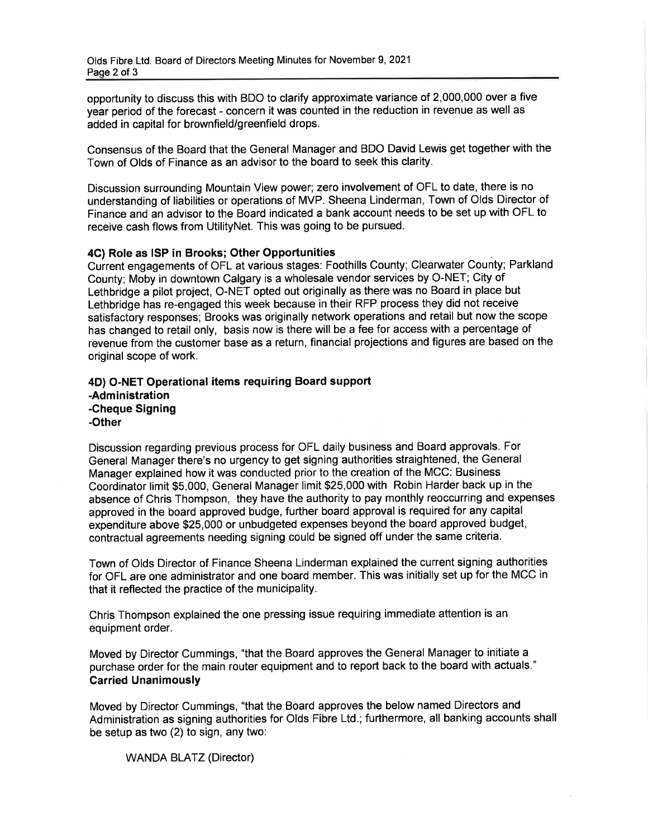opportunity to discuss this with BDO to clarify approximate variance of 2,000,000 over a five year period of the forecast - concern it was counted in the reduction in revenue as well as added in capital for brownfield/greenfield drops.

Consensus of the Board that the General Manager and BDO David Lewis get together with the Town of Olds of Finance as an advisor to the board to seek this clarity.

Discussion surrounding Mountain View power; zero involvement of OFL to date, there is no understanding of liabilities or operations of MVP. Sheena Linderman, Town of Olds Director of Finance and an advisor to the Board indicated a bank account needs to be set up with OFL to receive cash flows from UtilityNet. This was going to be pursued.

#### 4G) Role as ISP in Brooks; Other Opportunities

Current engagements of OFL at various stages: Foothills County; Clearwater County; Parkland County; Moby in downtown Calgary is a wholesale vendor services by O-NET; City of Lethbridge a pilot project, O-NET opted out originally as there was no Board in place but Lethbridge has re-engaged this week because in their RFP process they did not receive satisfactory responses; Brooks was originally network operations and retail but now the scope has changed to retail only, basis now is there will be a fee for access with a percentage of revenue from the customer base as a return, financial projections and figures are based on the original scope of work.

#### 4D) O-NET Operational items requiring Board support -Administration -Cheque Signing -Other

Discussion regarding previous process for OFL daily business and Board approvals. For General Manager there's no urgency to get signing authorities straightened, the General Manager explained how it was conducted prior to the creation of the MCC: Business Coordinator limit \$5,000, General Manager limit \$25,000 with Robin Harder back up in the absence of Chris Thompson, they have the authority to pay monthly reoccurring and expenses approved in the board approved budge, further board approval is required for any capital expenditure above \$25,000 or unbudgeted expenses beyond the board approved budget, contractual agreements needing signing could be signed off under the same criteria.

Town of Olds Director of Finance Sheena Linderman explained the current signing authorities for OFL are one administrator and one board member. This was initially set up for the MCC in that it reflected the practice of the municipality.

Chris Thompson explained the one pressing issue requiring immediate attention is an equipment order.

Moved by Director Cummings, "that the Board approves the General Manager to initiate a purchase order for the main router equipment and to report back to the board with actuals." Carried Unanimously

Moved by Director Cummings, "that the Board approves the below named Directors and Administration as signing authorities for Olds Fibre Ltd.; furthermore, all banking accounts shall be setup as two (2) to sign, any two:

WANDA BLATZ (Director)